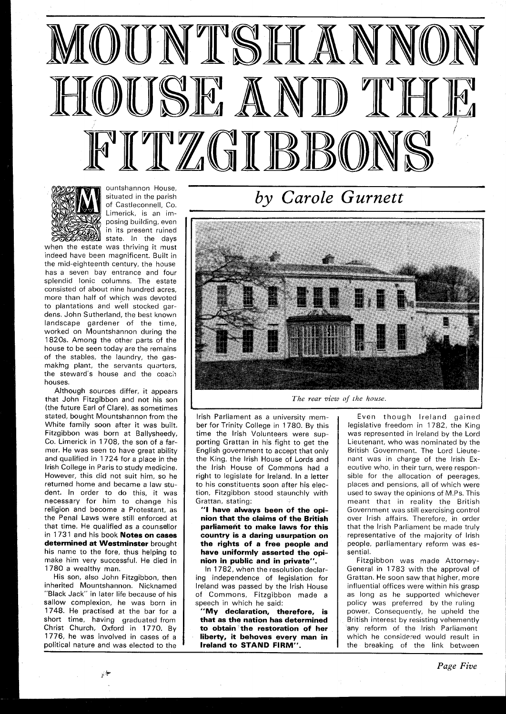



ountshannon House, situated in the parish of Castleconnell, Co. Limerick, is an imposing building, even in its present ruined state. In the days

when the estate was thriving it must indeed have been magnificent. Built in the mid-eighteenth century, the house has a seven bay entrance and four splendid Ionic columns. The estate consisted of about nine hundred acres, more than half of which was devoted to plantations and well stocked gardens. John Sutherland, the best known landscape gardener of the time, worked on Mountshannon during the 1820s. Among the other parts of the house to be seen today are the remains of the stables, the laundry, the gasmaking plant, the servants quarters, the steward's house and the coach houses.

Although sources differ, it appears that John Fitzgibbon and not his son (the future Earl of Clare), as sometimes stated, bought Mountshannon from the White family soon after it was built. Fitzgibbon was born at Ballysheedy, Co. Limerick in 1708, the son of a farmer. He was seen to have great ability and qualified in 1724 for a place in the lrish College in Paris to study medicine. However, this did not suit him, so he returned home and became a law student. In order to do this, it was necessary for him to change his religion and become a Protestant, as the Penal Laws were still enforced at that time. He qualified as a counisellor in 1731 and his book **Notes on cases determined at Westminster** brought his name to the fore, thus helping to make him very successful. He died in 1780 a wealthy man.

His son, also John Fitzgibbon, then inherited Mountshannon. Nicknamed "Black Jack" in later life because of his sallow complexion, he was born in 1748. He practised at the bar for a short time, having graduated from Christ Church, Oxford in 1770. By 1776, he was involved in cases of a political nature and was elected to the

*by Carole Gurnett* 



I *The rear view of the house.* 

lrish Parliament as a university member for Trinity College in 1780. By this time the lrish Volunteers were supporting Grattan in his fight to get the English government to accept that only the King, the lrish House of Lords and the lrish House of Commons had a right to legislate for Ireland. In a letter to his constituents soon after his election, Fitzgibbon stood staunchly with Grattan, stating:

**"I have always been of the opinion that the claims of the British parliameht to make laws for this country is a daring usurpation on the rights of a free people and have uniformly asserted the opinion in public and in private".** 

In 1782, when the resolution declaring independence of legislation for lreland was passed by the lrish House of Commons, Fitzgibbon made a speech in which he said:

**"My declaration, therefore, is that as the nation has determined to obtain the restoration of her liberty, it behoves every man in lreland to STAND FIRM".** 

Even though lreland gained legislative freedom in 1782, the King was represented in lreland by the Lord Lieutenant, who was nominated by the British Government. The Lord Lieutenant was in charge of the lrish Executive who, in their turn, were responsible for the allocation of peerages, places and pensions, all of which were used to sway the opinions of M.Ps. This meant that in reality the British Government was still exercising control over lrish affairs. Therefore, in order that the lrish Parliament be made truly representative of the majority of lrish people, parliamentary reform was essential.

Fitzgibbon was made Attorney-General in 1783 with the approval of Grattan. He soon saw that higher, more influential offices were within his grasp as long as he supported whichever policy was preferred by the ruling power. Consequently, he upheld the British interest by resisting vehemently any reform of the Irish Parliament which he considered would result in the breaking of the link between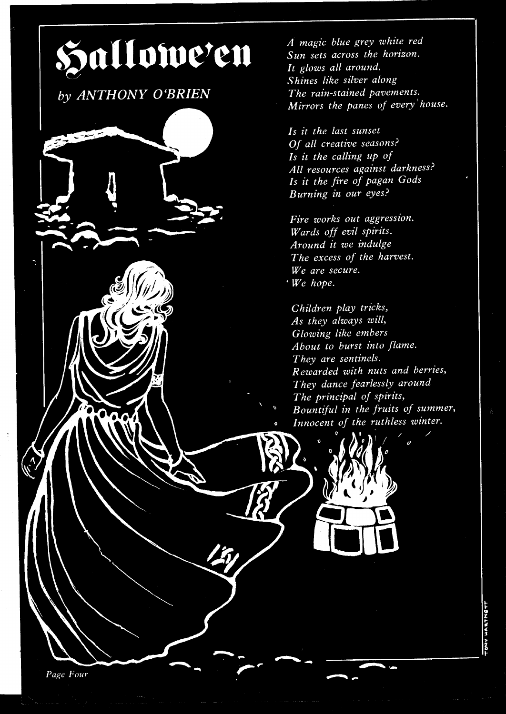

by ANTHONY O'BRIEN

A magic blue grey white red Sun sets across the horizon. It glows all around. Shines like silver along The rain-stained pavements. Mirrors the panes of every house.

Is it the last sunset Of all creative seasons? Is it the calling up of All resources against darkness? Is it the fire of pagan Gods Burning in our eyes?

Fire works out aggression. Wards off evil spirits. Around it we indulge The excess of the harvest. We are secure.  $W$ e hope.

Children play tricks, As they always will, Glowing like embers About to burst into flame. They are sentinels. Rewarded with nuts and berries, They dance fearlessly around The principal of spirits, Bountiful in the fruits of summer, Innocent of the ruthless winter.

NY HARTNETT

Page Four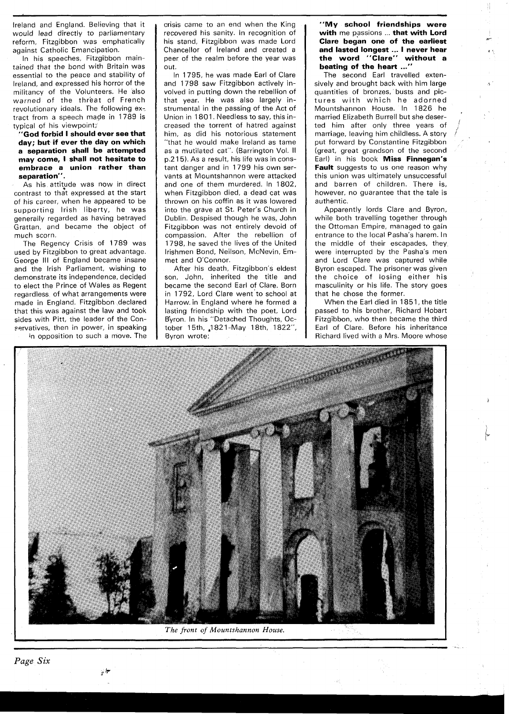Ireland and England. Believing that it would lead directly to parliamentary reform, Fitzgibbon was emphatically against Catholic Emancipation.

In his speeches, Fitzgibbon maintained that the bond with Britain was essential to the peace and stability of Ireland, and expressed his horror of the militancy of the Volunteers. He also warned of the threat of French revolutionary ideals. The following extract from a speech made in 1789 is typical of his viewpoint;

**"God forbid I should ever see that day; but if ever the day on which a separation shall be attempted may come, I shall not hesitate to embrace a union rather than separation".** 

As his attitude was now in direct contrast to that expressed at the start of his career, when he appeared to be supporting lrish liberty, he was generally regarded as having betrayed Grattan, and became the object of much scorn.

The Regency Crisis of 1789 was used by Fitzgibbon to great advantage. George Ill of England became insane and the lrish Parliament, wishing to demonstrate its independence, decided to elect the Prince of Wales as Regent regardless of what arrangements were made in England. Fitzgibbon declared that this was against the law and took sides with Pitt, the leader of the Con- ~ervatives, then in power, in speaking in opposition to such a move. The crisis came to an end when the King recovered his sanity. In recognition of his stand, Fitzgibbon was made Lord Chancellor of Ireland and created a peer of the realm before the year was out.

In 1795, he was made Earl of Clare and 1798 saw Fitzgibbon actively involved in putting down the rebellion of that year. He was also largely instrumental in the passing of the Act of Union in 1801. Needless to say, this increased the torrent of hatred against him, as did his notorious statement "that he would make Ireland as tame as a mutilated cat". (Barrington Vol. II p.2 15). As a result, his life was in constant danger and in 1799 his own servants at Mountshannon were attacked and one of them murdered. In 1802, when Fitzgibbon died, a dead cat was thrown on his coffin as it was lowered into the grave at St. Peter's Church in Dublin. Despised though he was, John Fitzgibbon was not entirely devoid of compassion. After the rebellion of 1798, he saved the lives of the United Irishmen Bond, Neilson, McNevin, Emmet and O'Connor.

After his death, Fitzgibbon's eldest son, John, inherited the title and became the second Earl of Clare. Born in 1792, Lord Clare went'to school at Harrow. in England where he formed a lasting friendship with the poet, Lord Byron. In his "Detached Thoughts, October 15th, 1821-May 18th, 1822", Byron wrote:

## **"My school friendships were with** me passions ... **that with Lord Clare began one of the earliest and lasted longest** ... **I never hear** *I'*  **the word "Clare" without a beating of the heart ...'**

The second Earl travelled extensively and brought back with him large **<sup>5</sup>** quantities of bronzes, busts and pictures with which he adorned Mountshannon House. In 1826 he married Elizabeth Burrell but she deserted him after only three years of ' marriage, leaving him childless. A story / put forward by Constantine Fitzgibbon (great, great grandson of the second Earl) in his book **Miss Finnegan's Fault** suggests to us one reason why this union was ultimately unsuccessful and barren of children. There is, however, no guarantee that the tale is authentic.

Apparently lords Clare and Byron, while both travelling together through the Ottoman Empire, managed to gain entrance to the local Pasha's harem. In the middle of their escapades, they were interrupted by the Pasha's men and Lord Clare was captured while Byron escaped. The prisoner was given the choice of losing either his masculinity or his life. The story goes that he chose the former.

When the Earl died in 1851, the title passed to his brother, Richard Hobart Fitzgibbon, who then became the third Earl of Clare. Before his inheritance Richard lived with a Mrs. Moore whose



*The front of Mountshannon House.* 

.<br>م<del>ب</del>ر